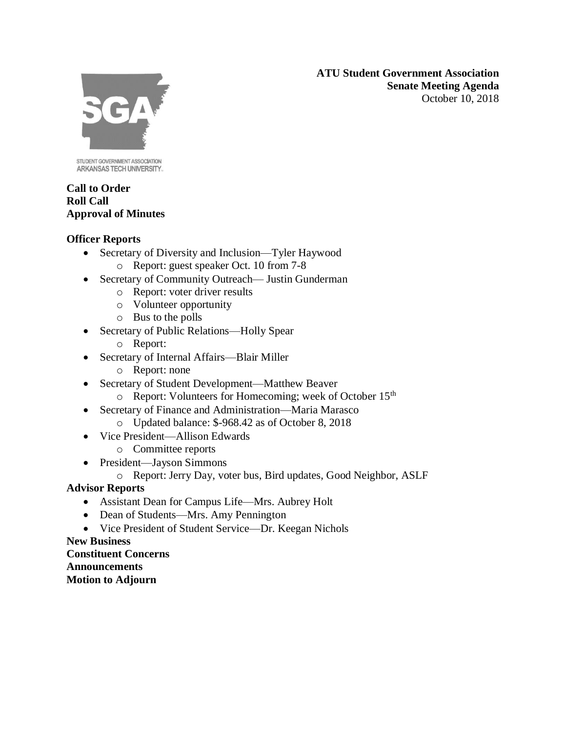**ATU Student Government Association Senate Meeting Agenda** October 10, 2018



STUDENT GOVERNMENT ASSOCIATION ARKANSAS TECH UNIVERSITY.

## **Call to Order Roll Call Approval of Minutes**

# **Officer Reports**

- Secretary of Diversity and Inclusion—Tyler Haywood
	- o Report: guest speaker Oct. 10 from 7-8
- Secretary of Community Outreach— Justin Gunderman
	- o Report: voter driver results
	- o Volunteer opportunity
	- o Bus to the polls
- Secretary of Public Relations—Holly Spear
	- o Report:
- Secretary of Internal Affairs—Blair Miller
	- o Report: none
- Secretary of Student Development—Matthew Beaver
	- o Report: Volunteers for Homecoming; week of October 15th
- Secretary of Finance and Administration—Maria Marasco
	- o Updated balance: \$-968.42 as of October 8, 2018
- Vice President—Allison Edwards
	- o Committee reports
- President—Jayson Simmons
	- o Report: Jerry Day, voter bus, Bird updates, Good Neighbor, ASLF

# **Advisor Reports**

- Assistant Dean for Campus Life—Mrs. Aubrey Holt
- Dean of Students—Mrs. Amy Pennington
- Vice President of Student Service—Dr. Keegan Nichols

# **New Business**

**Constituent Concerns Announcements Motion to Adjourn**